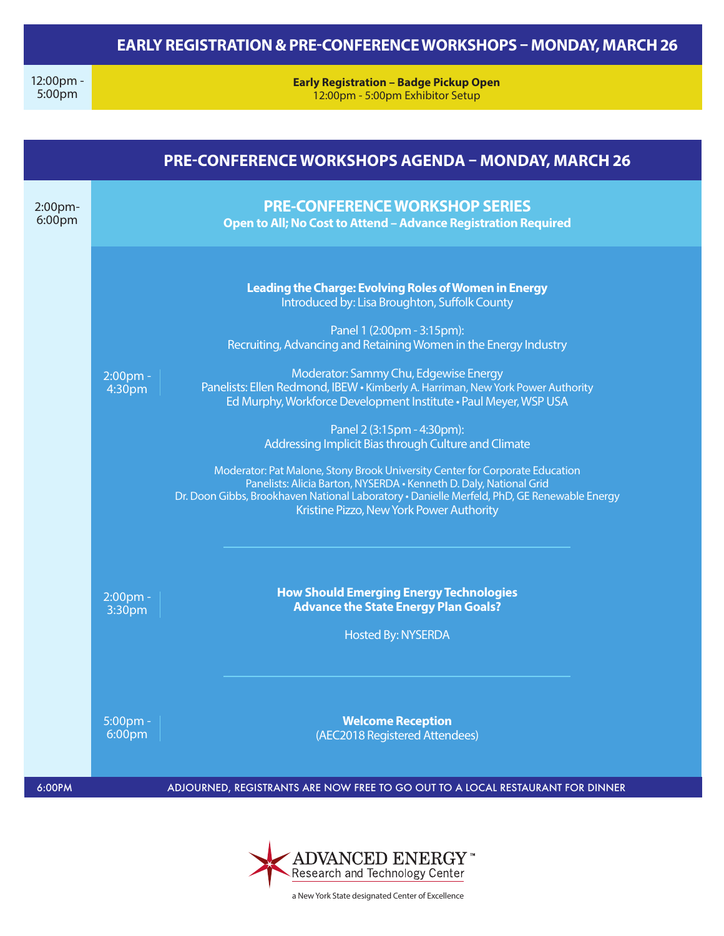## **EARLY REGISTRATION & PRE-CONFERENCE WORKSHOPS – MONDAY, MARCH 26**

12:00pm - 5:00pm

**Early Registration – Badge Pickup Open** 12:00pm - 5:00pm Exhibitor Setup

| <b>PRE-CONFERENCE WORKSHOPS AGENDA - MONDAY, MARCH 26</b> |                       |                                                                                                                                                                                                                                                                                               |  |  |  |  |  |  |
|-----------------------------------------------------------|-----------------------|-----------------------------------------------------------------------------------------------------------------------------------------------------------------------------------------------------------------------------------------------------------------------------------------------|--|--|--|--|--|--|
| 2:00pm-<br>6:00pm                                         |                       | <b>PRE-CONFERENCE WORKSHOP SERIES</b><br>Open to All; No Cost to Attend - Advance Registration Required                                                                                                                                                                                       |  |  |  |  |  |  |
|                                                           |                       | <b>Leading the Charge: Evolving Roles of Women in Energy</b><br>Introduced by: Lisa Broughton, Suffolk County                                                                                                                                                                                 |  |  |  |  |  |  |
|                                                           |                       | Panel 1 (2:00pm - 3:15pm):<br>Recruiting, Advancing and Retaining Women in the Energy Industry                                                                                                                                                                                                |  |  |  |  |  |  |
|                                                           | $2:00$ pm -<br>4:30pm | Moderator: Sammy Chu, Edgewise Energy<br>Panelists: Ellen Redmond, IBEW • Kimberly A. Harriman, New York Power Authority<br>Ed Murphy, Workforce Development Institute . Paul Meyer, WSP USA                                                                                                  |  |  |  |  |  |  |
|                                                           |                       | Panel 2 (3:15pm - 4:30pm):<br>Addressing Implicit Bias through Culture and Climate                                                                                                                                                                                                            |  |  |  |  |  |  |
|                                                           |                       | Moderator: Pat Malone, Stony Brook University Center for Corporate Education<br>Panelists: Alicia Barton, NYSERDA . Kenneth D. Daly, National Grid<br>Dr. Doon Gibbs, Brookhaven National Laboratory · Danielle Merfeld, PhD, GE Renewable Energy<br>Kristine Pizzo, New York Power Authority |  |  |  |  |  |  |
|                                                           | 2:00pm -<br>3:30pm    | <b>How Should Emerging Energy Technologies</b><br><b>Advance the State Energy Plan Goals?</b><br><b>Hosted By: NYSERDA</b>                                                                                                                                                                    |  |  |  |  |  |  |
|                                                           | $5:00$ pm -<br>6:00pm | <b>Welcome Reception</b><br>(AEC2018 Registered Attendees)                                                                                                                                                                                                                                    |  |  |  |  |  |  |
| 6:00PM                                                    |                       | ADJOURNED, REGISTRANTS ARE NOW FREE TO GO OUT TO A LOCAL RESTAURANT FOR DINNER                                                                                                                                                                                                                |  |  |  |  |  |  |



a New York State designated Center of Excellence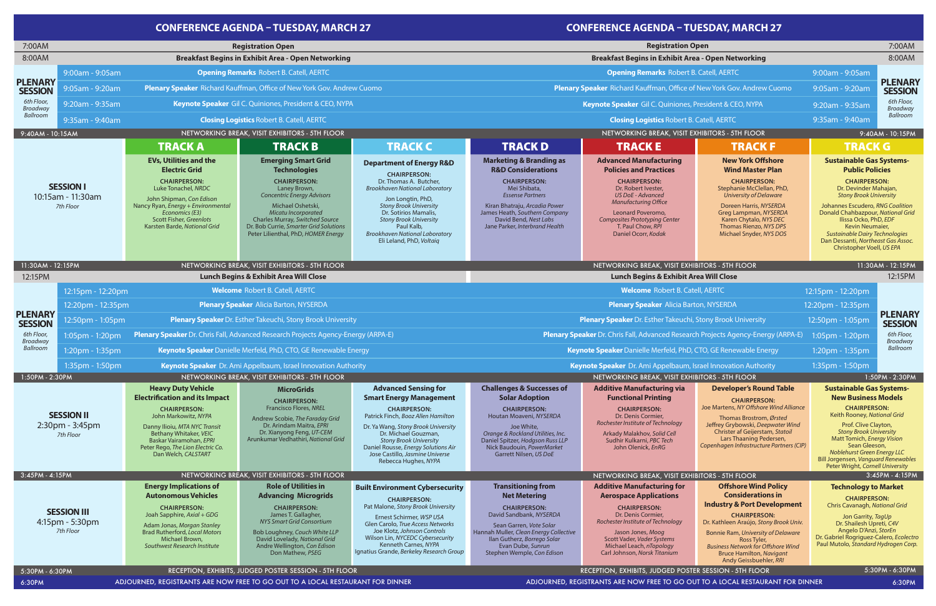Kiran Bhatraju, *Arcadia Power* ni **EVs, Utilities and the Electric Grid CHAIRPERSON:** Luke Tonachel, *NRDC* John Shipman, *Con Edison* Nancy Ryan, *Energy + Environmental Economics (E3)* Scott Fisher, *Greenlots* Karsten Barde, *National Grid* **Heavy Duty Vehicle Electrification and its Impact CHAIRPERSON:** John Markowitz, *NYPA* Danny Ilioiu, *MTA NYC Transit* Bethany Whitaker, *VEIC* Baskar Vairamohan, *EPRI* Peter Rego, *The Lion Electric Co.*  Dan Welch*, CALSTART* **Energy Implications of Autonomous Vehicles CHAIRPERSON:** Joah Sapphire, *Axial + GDG* Adam Jonas, *Morgan Stanley* Brad Rutherford, *Local Motors* Michael Brown, *Southwest Research Institute* **Emerging Smart Grid Technologies CHAIRPERSON:** Laney Brown, *Concentric Energy Advisors* Michael Oshetski, *Micatu Incorporated* Charles Murray, *Switched Source* Dr. Bob Currie, *Smarter Grid Solutions* Peter Lilienthal, PhD, *HOMER Energy* **MicroGrids CHAIRPERSON:** Francisco Flores, *NREL* Andrew Scobie, *The Faraday Grid* Dr. Arindam Maitra, *EPRI* Dr. Xianyong Feng, *UT-CEM* Arunkumar Vedhathiri, *National Grid* **Role of Utilities in Advancing Microgrids CHAIRPERSON:** James T. Gallagher, *NYS Smart Grid Consortium* Bob Loughney, *Couch White LLP* David Lovelady, *National Grid* Andre Wellington, *Con Edison*  Don Mathew*, PSEG* **Advanced Sensing for Smart Energy Management CHAIRPERSON:** Patrick Finch, *Booz Allen Hamilton* Dr. Ya Wang, *Stony Brook University* Dr. Michael Gouzman, *Stony Brook University* Daniel Rousse, *Energy Solutions Air* Jose Castillo*, Jasmine Universe* Rebecca Hughes, *NYPA* **Built Environment Cybersecurity CHAIRPERSON:** Pat Malone, *Stony Brook University* Ernest Schirmer, *WSP USA* Glen Carolo, *True Access Networks* Joe Klotz, *Johnson Controls* Wilson Lin, *NYCEDC Cybersecurity*  Kenneth Carnes*, NYPA* Ignatius Grande, *Berkeley Research Group* **Department of Energy R&D CHAIRPERSON:**  Dr. Thomas A. Butcher, *Brookhaven National Laboratory* Jon Longtin, PhD, *Stony Brook University* Dr. Sotirios Mamalis, *Stony Brook University* Paul Kalb*, Brookhaven National Laboratory* Eli Leland, PhD, *Voltaiq* TRACK D **Marketing & Branding as R&D Considerations CHAIRPERSON:** Mei Shibata, *Essense Partners* James Heath, *Southern Company* David Bend, *Nest Labs* Jane Parker, *Interbrand Health* **Challenges & Successes of Solar Adoption CHAIRPERSON:** Houtan Moaveni, *NYSERDA* Joe White, *Orange & Rockland Utilities, Inc.* Daniel Spitzer, *Hodgson Russ LLP* Nick Baudouin*, PowerMarket*  Garrett Nilsen, *US DoE* **Transitioning from Net Metering CHAIRPERSON:** David Sandbank, *NYSERDA* Sean Garren, *Vote Solar* Hannah Muller, *Clean Energy Collective* Ilan Gutherz, *Borrego Solar* Evan Dube, *Sunrun* Stephen Wemple, *Con Edison* **Advanced Manufacturing Policies and Practices CHAIRPERSON:** Dr. Robert Ivester, *US DoE - Advanced Manufacturing Office*  Leonard Poveromo, *Composites Prototyping Center* T. Paul Chow, *RPI* Daniel Ocorr, *Kodak* **Additive Manufacturing via Functional Printing CHAIRPERSON:** Dr. Denis Cormier, *Rochester Institute of Technology* Arkady Malakhov, *Solid Cell* Sudhir Kulkarni, *PBC Tech* John Olenick, *EnRG* **Additive Manufacturing for Aerospace Applications CHAIRPERSON:** Dr. Denis Cormier, *Rochester Institute of Technology* Jason Jones, *Moog*  Scott Vader, *Vader Systems* Michael Leach, *nTopology* Carl Johnson, *Norsk Titanium* **New York Offshore Wind Master Plan CHAIRPERSON:** Stephanie McClellan, PhD, *University of Delaware* Doreen Harris, *NYSERDA* Greg Lampman, *NYSERDA* Karen Chytalo, *NYS DEC* Thomas Rienzo, *NYS DPS* Michael Snyder, *NYS DOS* **Developer's Round Table CHAIRPERSON:** Joe Martens, *NY Offshore Wind Alliance* Thomas Brostrom, *Ørsted* Jeffrey Grybowski, *Deepwater Wind* Christer af Geijerstam, *Statoil* Lars Thaaning Pedersen, *Copenhagen Infrastructure Partners (CIP)* **Offshore Wind Policy Considerations in Industry & Port Development CHAIRPERSON:** Dr. Kathleen Araújo, *Stony Brook Univ.* Bonnie Ram, *University of Delaware* Ross Tyler, *Business Network for Offshore Wind* Bruce Hamilton, *Navigant* Andy Geissbuehler, *RRI* **Sustainable Gas Systems-New Business Models CHAIRPERSON:** Keith Rooney, *National Grid* Prof. Clive Clayton, *Stony Brook University* Matt Tomich, *Energy Vision* Sean Gleeson, *Noblehurst Green Energy LLC* Bill Jorgensen, *Vanguard Renewables* Peter Wright, *Cornell University* **Technology to Market CHAIRPERSON:** Chris Cavanagh, *National Grid* Jon Garrity, *TagUp* Dr. Shailesh Upreti, *C4V* Angelo D'Anzi, *StorEn* Dr. Gabriel Rogriguez-Calero, *Ecolectro* Paul Mutolo, *Standard Hydrogen Corp.* TRACK A TRACK B TRACK C TRACK D TRACK B TRACK E TRACK F TRACK G 1:20pm - 1:35pm **Keynote Speaker** Danielle Merfeld, PhD, CTO, GE Renewable Energy **Keynote Speaker Danielle Merfeld, PhD, CTO, GE Renewable Energy 1:20pm - 1:35pm** 1:35pm - 1:35pm - 1:35pm - 1:35pm - 1:35pm - 1:35pm - 1:35 **CONFERENCE AGENDA – TUESDAY, MARCH 27 Opening Remarks** Robert B. Catell, AERTC **Opening Remarks** Robert B. Catell, AERTC 9:00am - 9:05am 9:00am - 9:05am **Plenary Speaker** Richard Kauffman, Office of New York Gov. Andrew Cuomo **Plenary Speaker** Richard Kauffman, Office of New York Gov. Andrew Cuomo 9:05am - 9:20am 9:05am - 9:20am **Keynote Speaker** Gil C. Quiniones, President & CEO, NYPA **Keynote Speaker** Gil C. Quiniones, President & CEO, NYPA 9:20am - 9:35am 9:20am - 9:35am **Closing Logistics** Robert B. Catell, AERTC **Closing Logistics** Robert B. Catell, AERTC **Registration Open Breakfast Begins in Exhibit Area - Open Networking** 9:35am - 9:40am 9:35am - 9:40am 7:00AM 7:00AM 8:00AM 8:00AM **Breakfast Begins in Exhibit Area - Open Networking SESSION II** 2:30pm - 3:45pm *7th Floor* **SESSION III** 4:15pm - 5:30pm *7th Floor* **Plenary Speaker** Alicia Barton, NYSERDA **Plenary Speaker** Alicia Barton, NYSERDA 12:20pm - 12:35pm 12:20pm - 12:35pm **Welcome** Robert B. Catell, AERTC **Welcome** Robert B. Catell, AERTC **SESSION I** 10:15am - 11:30am *7th Floor* **Plenary Speaker** Dr. Chris Fall, Advanced Research Projects Agency-Energy (ARPA-E) **Plenary Speaker** Dr. Chris Fall, Advanced Research Projects Agency-Energy (ARPA-E) 1:05pm - 1:20pm 1:05pm - 1:20pm **Keynote Speaker** Dr. Ami Appelbaum, Israel Innovation Authority **Keynote Speaker** Dr. Ami Appelbaum, Israel Innovation Authority **PLENARY SESSION**  *6th Floor, Broadway Ballroom* **PLENARY SESSION**  *6th Floor, Broadway Ballroom* **PLENARY SESSION**  *6th Floor, Broadway Ballroom* **PLENARY SESSION**  *6th Floor, Broadway Ballroom* 12:15PM **Lunch Begins & Exhibit Area Will Close Lunch Begins & Exhibit Area Will Close** 12:15pm - 12:20pm 12:15pm - 12:20pm 12:50pm - 1:05pm **Plenary Speaker** Dr. Esther Takeuchi, Stony Brook University **Plenary Speaker** Dr. Esther Takeuchi, Stony Brook University 12:50pm - 1:05pm 12:15PM 1:35pm - 1:50pm **Keynote Speaker** Dr. Ami Appelbaum, Israel Innovation Authority **1:35pm - 1:50pm - 1:50pm - 1:50pm - 1:50pm - 1:50pm - 1:50pm** - 1:50pm - 1:50pm - 1:50pm - 1:50pm - 1:50pm **Registration Open** 11:30AM - 12:15PM 9:40AM - 10:15AM 9:40AM - 10:15PM NETWORKING BREAK, VISIT EXHIBITORS - 5TH FLOOR NETWORKING BREAK, VISIT EXHIBITORS - 5TH FLOOR 11:30AM - 12:15PM 1:50PM - 2:30PM 1:50PM - 2:30PM 3:45PM - 4:15PM 3:45PM - 4:15PM NETWORKING BREAK, VISIT EXHIBITORS - 5TH FLOOR NETWORKING BREAK, VISIT EXHIBITORS - 5TH FLOOR 5:30PM - 6:30PM 5:30PM - 6:30PM RECEPTION, EXHIBITS, JUDGED POSTER SESSION - 5TH FLOOR RECEPTION, EXHIBITS, JUDGED POSTER SESSION - 5TH FLOOR NETWORKING BREAK, VISIT EXHIBITORS - 5TH FLOOR NETWORKING BREAK, VISIT EXHIBITORS - 5TH FLOOR NETWORKING BREAK, VISIT EXHIBITORS - 5TH FLOOR NETWORKING BREAK, VISIT EXHIBITORS - 5TH FLOOR **Sustainable Gas Systems-Public Policies CHAIRPERSON:** Dr. Devinder Mahajan, *Stony Brook University* Johannes Escudero, *RNG Coalition* Donald Chahbazpour, *National Grid* Ilissa Ocko, PhD, *EDF* Kevin Neumaier, *Sustainable Dairy Technologies* Dan Dessanti, *Northeast Gas Assoc.* Christopher Voell, *US EPA*

# **CONFERENCE AGENDA – TUESDAY, MARCH 27**

ADJOURNED, REGISTRANTS ARE NOW FREE TO GO OUT TO A LOCAL RESTAURANT FOR DINNER ADJOURNED, REGISTRANTS ARE NOW FREE TO GO OUT TO A LOCAL RESTAURANT FOR DINNER 6:30PM 6:30PM